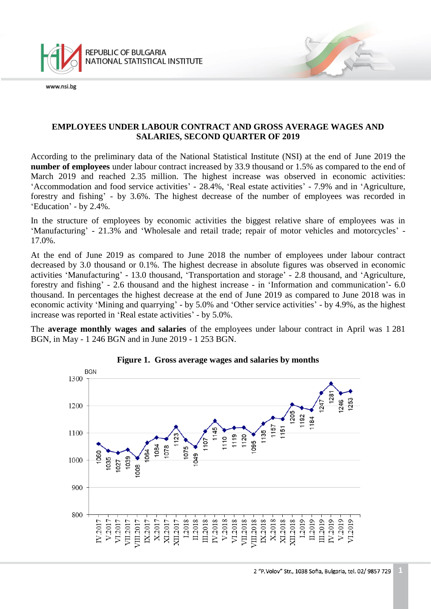

www.nsi.be

### **EMPLOYEES UNDER LABOUR CONTRACT AND GROSS AVERAGE WAGES AND SALARIES, SECOND QUARTER OF 2019**

According to the preliminary data of the National Statistical Institute (NSI) at the end of June 2019 the **number of employees** under labour contract increased by 33.9 thousand or 1.5% as compared to the end of March 2019 and reached 2.35 million. The highest increase was observed in economic activities: 'Accommodation and food service activities' - 28.4%, 'Real estate activities' - 7.9% and in 'Agriculture, forestry and fishing' - by 3.6%. The highest decrease of the number of employees was recorded in 'Education' - by 2.4%.

In the structure of employees by economic activities the biggest relative share of employees was in 'Manufacturing' - 21.3% and 'Wholesale and retail trade; repair of motor vehicles and motorcycles' - 17.0%.

At the end of June 2019 as compared to June 2018 the number of employees under labour contract decreased by 3.0 thousand or 0.1%. The highest decrease in absolute figures was observed in economic activities 'Manufacturing' - 13.0 thousand, 'Transportation and storage' - 2.8 thousand, and 'Agriculture, forestry and fishing' - 2.6 thousand and the highest increase - in 'Information and communication'- 6.0 thousand. In percentages the highest decrease at the end of June 2019 as compared to June 2018 was in economic activity 'Mining and quarrying' - by 5.0% and 'Other service activities' - by 4.9%, as the highest increase was reported in 'Real estate activities' - by 5.0%.

The **average monthly wages and salaries** of the employees under labour contract in April was 1 281 BGN, in May - 1 246 BGN and in June 2019 - 1 253 BGN.



#### **Figure 1. Gross average wages and salaries by months**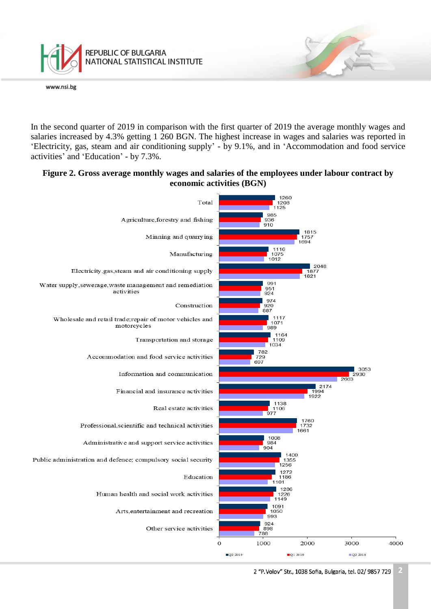

In the second quarter of 2019 in comparison with the first quarter of 2019 the average monthly wages and salaries increased by 4.3% getting 1 260 BGN. The highest increase in wages and salaries was reported in 'Electricity, gas, steam and air conditioning supply' - by 9.1%, and in 'Accommodation and food service activities' and 'Education' - by 7.3%.

#### **Figure 2. Gross average monthly wages and salaries of the employees under labour contract by economic activities (BGN)**



2 "P. Volov" Str., 1038 Sofia, Bulgaria, tel. 02/ 9857 729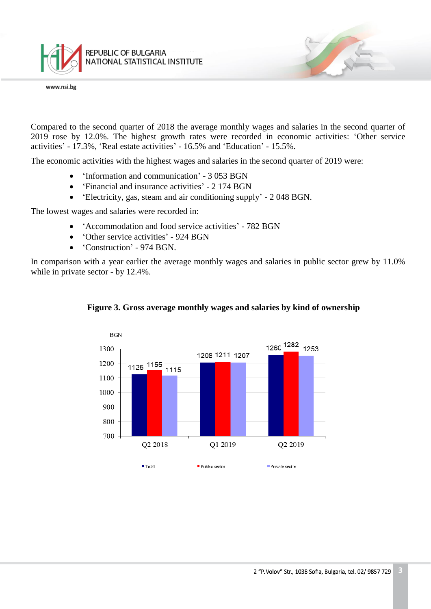

Compared to the second quarter of 2018 the average monthly wages and salaries in the second quarter of 2019 rose by 12.0%. The highest growth rates were recorded in economic activities: 'Other service activities' - 17.3%, 'Real estate activities' - 16.5% and 'Education' - 15.5%.

The economic activities with the highest wages and salaries in the second quarter of 2019 were:

- 'Information and communication' 3 053 BGN
- 'Financial and insurance activities' 2 174 BGN
- 'Electricity, gas, steam and air conditioning supply' 2 048 BGN.

The lowest wages and salaries were recorded in:

- 'Accommodation and food service activities' 782 BGN
- 'Other service activities' 924 BGN
- 'Construction' 974 BGN.

In comparison with a year earlier the average monthly wages and salaries in public sector grew by 11.0% while in private sector - by 12.4%.



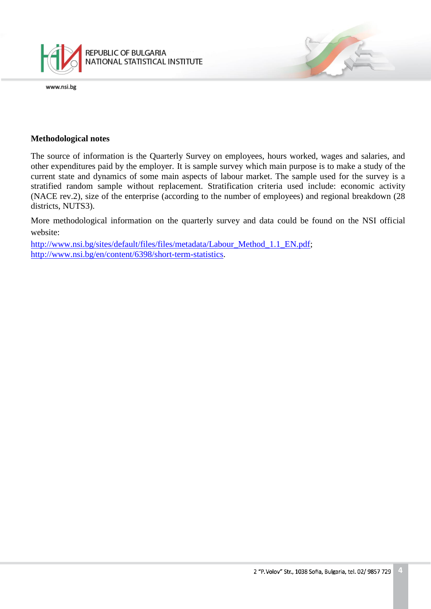

#### **Methodological notes**

The source of information is the Quarterly Survey on employees, hours worked, wages and salaries, and other expenditures paid by the employer. It is sample survey which main purpose is to make a study of the current state and dynamics of some main aspects of labour market. The sample used for the survey is a stratified random sample without replacement. Stratification criteria used include: economic activity (NACE rev.2), size of the enterprise (according to the number of employees) and regional breakdown (28 districts, NUTS3).

More methodological information on the quarterly survey and data could be found on the NSI official website:

[http://www.nsi.bg/sites/default/files/files/metadata/Labour\\_Method\\_1.1\\_EN.pdf;](http://www.nsi.bg/sites/default/files/files/metadata/Labour_Method_1.1_EN.pdf) [http://www.nsi.bg/en/content/6398/short-term-statistics.](http://www.nsi.bg/en/content/6398/short-term-statistics)

7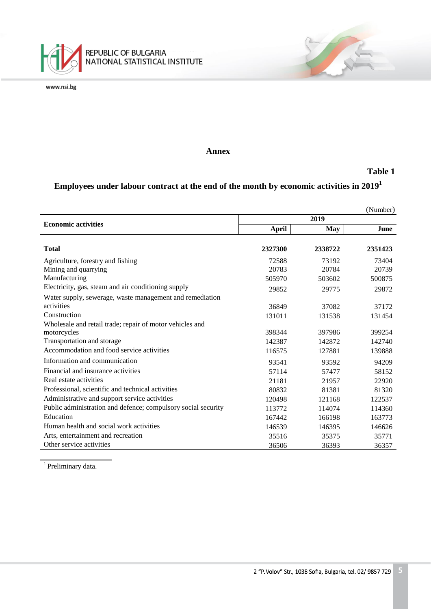

#### **Annex**

### **Table 1**

安全

# Employees under labour contract at the end of the month by economic activities in  $2019^1$

|                                                               |         |            | (Number) |
|---------------------------------------------------------------|---------|------------|----------|
| <b>Economic activities</b>                                    | 2019    |            |          |
|                                                               | April   | <b>May</b> | June     |
|                                                               |         |            |          |
| <b>Total</b>                                                  | 2327300 | 2338722    | 2351423  |
| Agriculture, forestry and fishing                             | 72588   | 73192      | 73404    |
| Mining and quarrying                                          | 20783   | 20784      | 20739    |
| Manufacturing                                                 | 505970  | 503602     | 500875   |
| Electricity, gas, steam and air conditioning supply           | 29852   | 29775      | 29872    |
| Water supply, sewerage, waste management and remediation      |         |            |          |
| activities                                                    | 36849   | 37082      | 37172    |
| Construction                                                  | 131011  | 131538     | 131454   |
| Wholesale and retail trade; repair of motor vehicles and      |         |            |          |
| motorcycles                                                   | 398344  | 397986     | 399254   |
| Transportation and storage                                    | 142387  | 142872     | 142740   |
| Accommodation and food service activities                     | 116575  | 127881     | 139888   |
| Information and communication                                 | 93541   | 93592      | 94209    |
| Financial and insurance activities                            | 57114   | 57477      | 58152    |
| Real estate activities                                        | 21181   | 21957      | 22920    |
| Professional, scientific and technical activities             | 80832   | 81381      | 81320    |
| Administrative and support service activities                 | 120498  | 121168     | 122537   |
| Public administration and defence; compulsory social security | 113772  | 114074     | 114360   |
| Education                                                     | 167442  | 166198     | 163773   |
| Human health and social work activities                       | 146539  | 146395     | 146626   |
| Arts, entertainment and recreation                            | 35516   | 35375      | 35771    |
| Other service activities                                      | 36506   | 36393      | 36357    |

<sup>1</sup> Preliminary data.